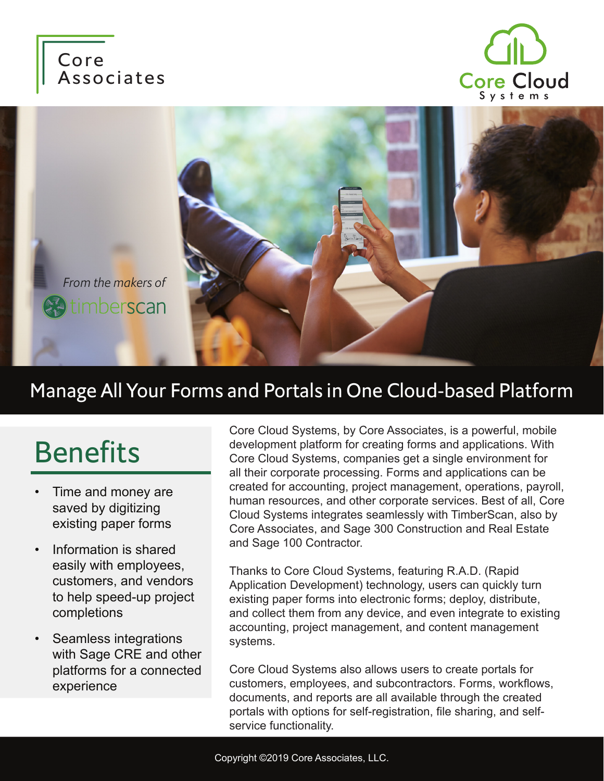





### Manage All Your Forms and Portals in One Cloud-based Platform

# Benefits

- Time and money are saved by digitizing existing paper forms
- Information is shared easily with employees, customers, and vendors to help speed-up project completions
- Seamless integrations with Sage CRE and other platforms for a connected experience

Core Cloud Systems, by Core Associates, is a powerful, mobile development platform for creating forms and applications. With Core Cloud Systems, companies get a single environment for all their corporate processing. Forms and applications can be created for accounting, project management, operations, payroll, human resources, and other corporate services. Best of all, Core Cloud Systems integrates seamlessly with TimberScan, also by Core Associates, and Sage 300 Construction and Real Estate and Sage 100 Contractor.

Thanks to Core Cloud Systems, featuring R.A.D. (Rapid Application Development) technology, users can quickly turn existing paper forms into electronic forms; deploy, distribute, and collect them from any device, and even integrate to existing accounting, project management, and content management systems.

Core Cloud Systems also allows users to create portals for customers, employees, and subcontractors. Forms, workflows, documents, and reports are all available through the created portals with options for self-registration, file sharing, and selfservice functionality.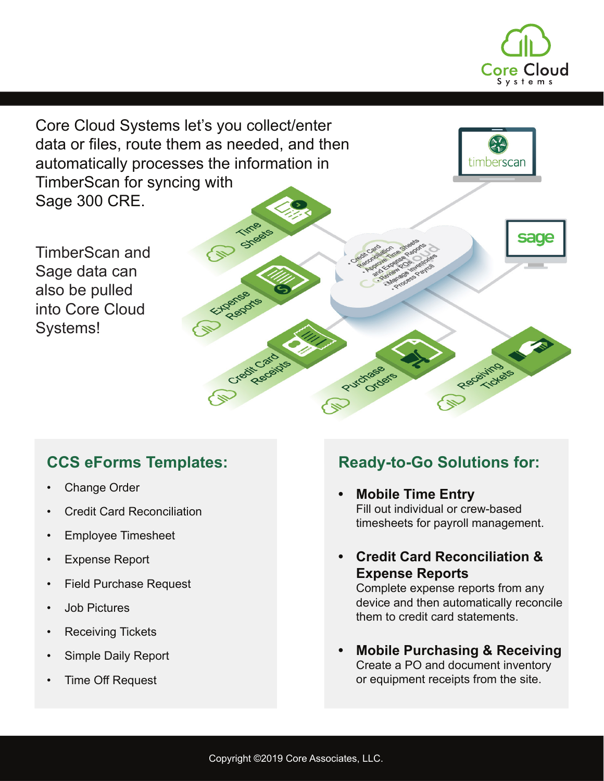

Core Cloud Systems let's you collect/enter data or files, route them as needed, and then automatically processes the information in imberscar TimberScan for syncing with Sage 300 CRE. TIMB **Sylester** sage TimberScan and Sage data can also be pulled Reports into Core Cloud Systems!Credit Cardides Receiving Purchase Ordere

#### **CCS eForms Templates:**

- Change Order
- Credit Card Reconciliation
- Employee Timesheet
- **Expense Report**
- **Field Purchase Request**
- Job Pictures
- Receiving Tickets
- Simple Daily Report
- Time Off Request

#### **Ready-to-Go Solutions for:**

- **• Mobile Time Entry** Fill out individual or crew-based timesheets for payroll management.
- **• Credit Card Reconciliation & Expense Reports**

Complete expense reports from any device and then automatically reconcile them to credit card statements.

**• Mobile Purchasing & Receiving** Create a PO and document inventory or equipment receipts from the site.